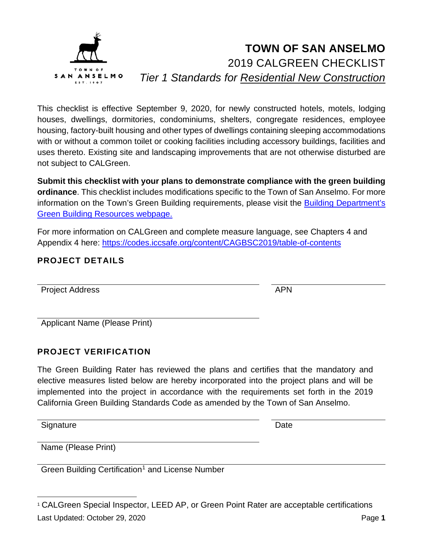

## **TOWN OF SAN ANSELMO**  2019 CALGREEN CHECKLIST *Tier 1 Standards for Residential New Construction*

This checklist is effective September 9, 2020, for newly constructed hotels, motels, lodging houses, dwellings, dormitories, condominiums, shelters, congregate residences, employee housing, factory-built housing and other types of dwellings containing sleeping accommodations with or without a common toilet or cooking facilities including accessory buildings, facilities and uses thereto. Existing site and landscaping improvements that are not otherwise disturbed are not subject to CALGreen.

**Submit this checklist with your plans to demonstrate compliance with the green building ordinance**. This checklist includes modifications specific to the Town of San Anselmo. For more information on the Town's Green Building requirements, please visit the [Building Department's](https://www.townofsananselmo.org/1228/Green-Building-Resources)  [Green Building Resources webpage.](https://www.townofsananselmo.org/1228/Green-Building-Resources)

For more information on CALGreen and complete measure language, see Chapters 4 and Appendix 4 here:<https://codes.iccsafe.org/content/CAGBSC2019/table-of-contents>

#### **PROJECT DETAILS**

Project Address APN

Applicant Name (Please Print)

#### **PROJECT VERIFICATION**

The Green Building Rater has reviewed the plans and certifies that the mandatory and elective measures listed below are hereby incorporated into the project plans and will be implemented into the project in accordance with the requirements set forth in the 2019 California Green Building Standards Code as amended by the Town of San Anselmo.

Signature Date Date Date

Name (Please Print)

Green Building Certification<sup>[1](#page-0-0)</sup> and License Number

<span id="page-0-0"></span>Last Updated: October 29, 2020 Page **1** <sup>1</sup> CALGreen Special Inspector, LEED AP, or Green Point Rater are acceptable certifications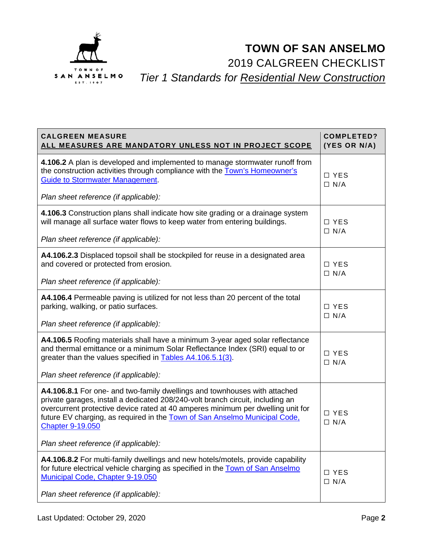

## **TOWN OF SAN ANSELMO**  2019 CALGREEN CHECKLIST *Tier 1 Standards for Residential New Construction*

| <b>CALGREEN MEASURE</b><br>ALL MEASURES ARE MANDATORY UNLESS NOT IN PROJECT SCOPE                                                                                                                                                                                                                                                                               | <b>COMPLETED?</b><br>(YES OR N/A) |
|-----------------------------------------------------------------------------------------------------------------------------------------------------------------------------------------------------------------------------------------------------------------------------------------------------------------------------------------------------------------|-----------------------------------|
| 4.106.2 A plan is developed and implemented to manage stormwater runoff from<br>the construction activities through compliance with the Town's Homeowner's<br><b>Guide to Stormwater Management.</b>                                                                                                                                                            | $\Box$ YES<br>$\Box$ N/A          |
| Plan sheet reference (if applicable):                                                                                                                                                                                                                                                                                                                           |                                   |
| 4.106.3 Construction plans shall indicate how site grading or a drainage system<br>will manage all surface water flows to keep water from entering buildings.<br>Plan sheet reference (if applicable):                                                                                                                                                          | $\Box$ YES<br>$\Box$ N/A          |
|                                                                                                                                                                                                                                                                                                                                                                 |                                   |
| A4.106.2.3 Displaced topsoil shall be stockpiled for reuse in a designated area<br>and covered or protected from erosion.                                                                                                                                                                                                                                       | $\Box$ YES<br>$\Box$ N/A          |
| Plan sheet reference (if applicable):                                                                                                                                                                                                                                                                                                                           |                                   |
| A4.106.4 Permeable paving is utilized for not less than 20 percent of the total<br>parking, walking, or patio surfaces.                                                                                                                                                                                                                                         | $\Box$ YES<br>$\Box$ N/A          |
| Plan sheet reference (if applicable):                                                                                                                                                                                                                                                                                                                           |                                   |
| A4.106.5 Roofing materials shall have a minimum 3-year aged solar reflectance<br>and thermal emittance or a minimum Solar Reflectance Index (SRI) equal to or<br>greater than the values specified in Tables A4.106.5.1(3).                                                                                                                                     | $\Box$ YES<br>$\Box$ N/A          |
| Plan sheet reference (if applicable):                                                                                                                                                                                                                                                                                                                           |                                   |
| A4.106.8.1 For one- and two-family dwellings and townhouses with attached<br>private garages, install a dedicated 208/240-volt branch circuit, including an<br>overcurrent protective device rated at 40 amperes minimum per dwelling unit for<br>future EV charging, as required in the <b>Town of San Anselmo Municipal Code</b> ,<br><b>Chapter 9-19.050</b> | $\Box$ YES<br>$\Box$ N/A          |
| Plan sheet reference (if applicable):                                                                                                                                                                                                                                                                                                                           |                                   |
| A4.106.8.2 For multi-family dwellings and new hotels/motels, provide capability<br>for future electrical vehicle charging as specified in the Town of San Anselmo<br>Municipal Code, Chapter 9-19.050                                                                                                                                                           | $\Box$ YES<br>$\Box$ N/A          |
| Plan sheet reference (if applicable):                                                                                                                                                                                                                                                                                                                           |                                   |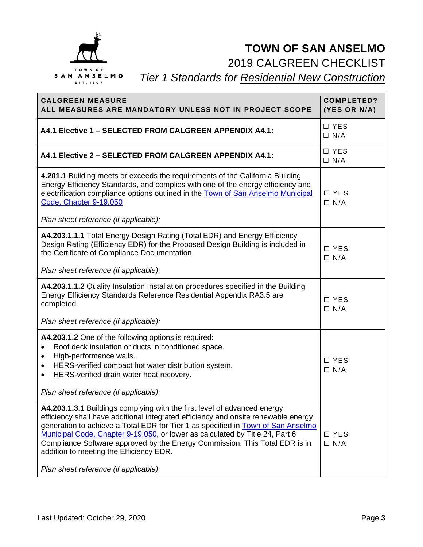

2019 CALGREEN CHECKLIST

| <b>CALGREEN MEASURE</b><br>ALL MEASURES ARE MANDATORY UNLESS NOT IN PROJECT SCOPE                                                                                                                                                                                                                                                                                                                                                                                                                     | <b>COMPLETED?</b><br>(YES OR N/A) |
|-------------------------------------------------------------------------------------------------------------------------------------------------------------------------------------------------------------------------------------------------------------------------------------------------------------------------------------------------------------------------------------------------------------------------------------------------------------------------------------------------------|-----------------------------------|
| A4.1 Elective 1 - SELECTED FROM CALGREEN APPENDIX A4.1:                                                                                                                                                                                                                                                                                                                                                                                                                                               | $\Box$ YES<br>$\Box$ N/A          |
| A4.1 Elective 2 - SELECTED FROM CALGREEN APPENDIX A4.1:                                                                                                                                                                                                                                                                                                                                                                                                                                               | $\Box$ YES<br>$\Box$ N/A          |
| 4.201.1 Building meets or exceeds the requirements of the California Building<br>Energy Efficiency Standards, and complies with one of the energy efficiency and<br>electrification compliance options outlined in the Town of San Anselmo Municipal<br>Code, Chapter 9-19.050<br>Plan sheet reference (if applicable):                                                                                                                                                                               | $\Box$ YES<br>$\Box$ N/A          |
| A4.203.1.1.1 Total Energy Design Rating (Total EDR) and Energy Efficiency<br>Design Rating (Efficiency EDR) for the Proposed Design Building is included in<br>the Certificate of Compliance Documentation<br>Plan sheet reference (if applicable):                                                                                                                                                                                                                                                   | $\Box$ YES<br>$\Box$ N/A          |
| A4.203.1.1.2 Quality Insulation Installation procedures specified in the Building<br>Energy Efficiency Standards Reference Residential Appendix RA3.5 are<br>completed.<br>Plan sheet reference (if applicable):                                                                                                                                                                                                                                                                                      | $\Box$ YES<br>$\Box$ N/A          |
| A4.203.1.2 One of the following options is required:<br>Roof deck insulation or ducts in conditioned space.<br>High-performance walls.<br>HERS-verified compact hot water distribution system.<br>$\bullet$<br>HERS-verified drain water heat recovery.<br>$\bullet$<br>Plan sheet reference (if applicable):                                                                                                                                                                                         | $\Box$ YES<br>$\Box$ N/A          |
| A4.203.1.3.1 Buildings complying with the first level of advanced energy<br>efficiency shall have additional integrated efficiency and onsite renewable energy<br>generation to achieve a Total EDR for Tier 1 as specified in Town of San Anselmo<br>Municipal Code, Chapter 9-19.050, or lower as calculated by Title 24, Part 6<br>Compliance Software approved by the Energy Commission. This Total EDR is in<br>addition to meeting the Efficiency EDR.<br>Plan sheet reference (if applicable): | □ YES<br>$\Box$ N/A               |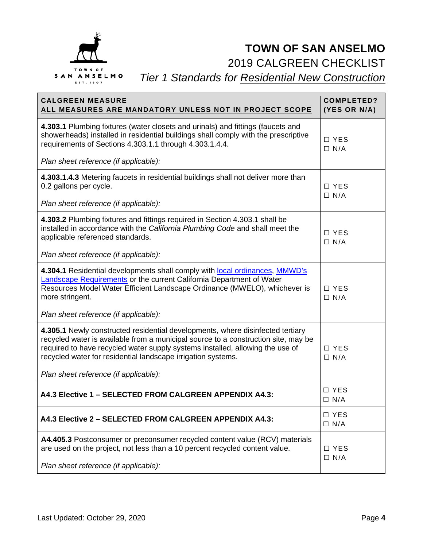

2019 CALGREEN CHECKLIST

| <b>CALGREEN MEASURE</b><br>ALL MEASURES ARE MANDATORY UNLESS NOT IN PROJECT SCOPE                                                                                                                                                                                                                                     | <b>COMPLETED?</b><br>(YES OR N/A) |
|-----------------------------------------------------------------------------------------------------------------------------------------------------------------------------------------------------------------------------------------------------------------------------------------------------------------------|-----------------------------------|
| 4.303.1 Plumbing fixtures (water closets and urinals) and fittings (faucets and<br>showerheads) installed in residential buildings shall comply with the prescriptive<br>requirements of Sections 4.303.1.1 through 4.303.1.4.4.                                                                                      | $\Box$ YES<br>$\Box$ N/A          |
| Plan sheet reference (if applicable):                                                                                                                                                                                                                                                                                 |                                   |
| 4.303.1.4.3 Metering faucets in residential buildings shall not deliver more than<br>0.2 gallons per cycle.                                                                                                                                                                                                           | $\Box$ YES<br>$\Box$ N/A          |
| Plan sheet reference (if applicable):                                                                                                                                                                                                                                                                                 |                                   |
| 4.303.2 Plumbing fixtures and fittings required in Section 4.303.1 shall be<br>installed in accordance with the California Plumbing Code and shall meet the<br>applicable referenced standards.                                                                                                                       | $\Box$ YES<br>$\Box$ N/A          |
| Plan sheet reference (if applicable):                                                                                                                                                                                                                                                                                 |                                   |
| 4.304.1 Residential developments shall comply with local ordinances, MMWD's<br>Landscape Requirements or the current California Department of Water<br>Resources Model Water Efficient Landscape Ordinance (MWELO), whichever is<br>more stringent.                                                                   | $\Box$ YES<br>$\Box$ N/A          |
| Plan sheet reference (if applicable):                                                                                                                                                                                                                                                                                 |                                   |
| 4.305.1 Newly constructed residential developments, where disinfected tertiary<br>recycled water is available from a municipal source to a construction site, may be<br>required to have recycled water supply systems installed, allowing the use of<br>recycled water for residential landscape irrigation systems. | $\Box$ YES<br>$\Box$ N/A          |
| Plan sheet reference (if applicable):                                                                                                                                                                                                                                                                                 |                                   |
| A4.3 Elective 1 - SELECTED FROM CALGREEN APPENDIX A4.3:                                                                                                                                                                                                                                                               | $\Box$ YES<br>$\Box$ N/A          |
| A4.3 Elective 2 - SELECTED FROM CALGREEN APPENDIX A4.3:                                                                                                                                                                                                                                                               | $\Box$ YES<br>$\Box$ N/A          |
| A4.405.3 Postconsumer or preconsumer recycled content value (RCV) materials<br>are used on the project, not less than a 10 percent recycled content value.<br>Plan sheet reference (if applicable):                                                                                                                   | □ YES<br>$\Box$ N/A               |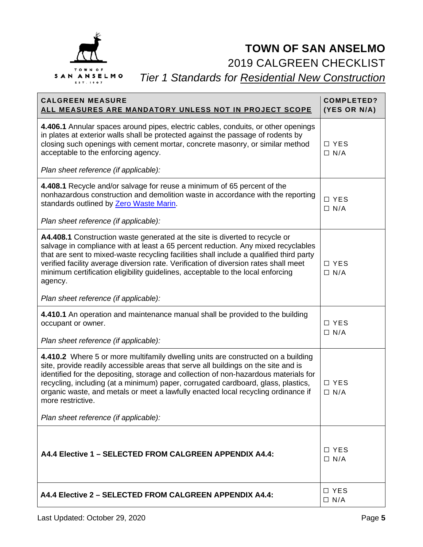

2019 CALGREEN CHECKLIST

| <b>CALGREEN MEASURE</b><br>ALL MEASURES ARE MANDATORY UNLESS NOT IN PROJECT SCOPE                                                                                                                                                                                                                                                                                                                                                                            | <b>COMPLETED?</b><br>(YES OR N/A) |
|--------------------------------------------------------------------------------------------------------------------------------------------------------------------------------------------------------------------------------------------------------------------------------------------------------------------------------------------------------------------------------------------------------------------------------------------------------------|-----------------------------------|
| 4.406.1 Annular spaces around pipes, electric cables, conduits, or other openings<br>in plates at exterior walls shall be protected against the passage of rodents by<br>closing such openings with cement mortar, concrete masonry, or similar method<br>acceptable to the enforcing agency.<br>Plan sheet reference (if applicable):                                                                                                                       | $\Box$ YES<br>$\Box$ N/A          |
|                                                                                                                                                                                                                                                                                                                                                                                                                                                              |                                   |
| 4.408.1 Recycle and/or salvage for reuse a minimum of 65 percent of the<br>nonhazardous construction and demolition waste in accordance with the reporting<br>standards outlined by Zero Waste Marin.                                                                                                                                                                                                                                                        | □ YES<br>$\Box$ N/A               |
| Plan sheet reference (if applicable):                                                                                                                                                                                                                                                                                                                                                                                                                        |                                   |
| A4.408.1 Construction waste generated at the site is diverted to recycle or<br>salvage in compliance with at least a 65 percent reduction. Any mixed recyclables<br>that are sent to mixed-waste recycling facilities shall include a qualified third party<br>verified facility average diversion rate. Verification of diversion rates shall meet<br>minimum certification eligibility guidelines, acceptable to the local enforcing<br>agency.            | □ YES<br>$\Box$ N/A               |
| Plan sheet reference (if applicable):                                                                                                                                                                                                                                                                                                                                                                                                                        |                                   |
| 4.410.1 An operation and maintenance manual shall be provided to the building<br>occupant or owner.                                                                                                                                                                                                                                                                                                                                                          | □ YES<br>$\Box$ N/A               |
| Plan sheet reference (if applicable):                                                                                                                                                                                                                                                                                                                                                                                                                        |                                   |
| 4.410.2 Where 5 or more multifamily dwelling units are constructed on a building<br>site, provide readily accessible areas that serve all buildings on the site and is<br>identified for the depositing, storage and collection of non-hazardous materials for<br>recycling, including (at a minimum) paper, corrugated cardboard, glass, plastics,<br>organic waste, and metals or meet a lawfully enacted local recycling ordinance if<br>more restrictive | □ YES<br>$\Box$ N/A               |
| Plan sheet reference (if applicable):                                                                                                                                                                                                                                                                                                                                                                                                                        |                                   |
| A4.4 Elective 1 - SELECTED FROM CALGREEN APPENDIX A4.4:                                                                                                                                                                                                                                                                                                                                                                                                      | $\Box$ YES<br>$\Box$ N/A          |
| A4.4 Elective 2 - SELECTED FROM CALGREEN APPENDIX A4.4:                                                                                                                                                                                                                                                                                                                                                                                                      | $\Box$ YES<br>$\Box$ N/A          |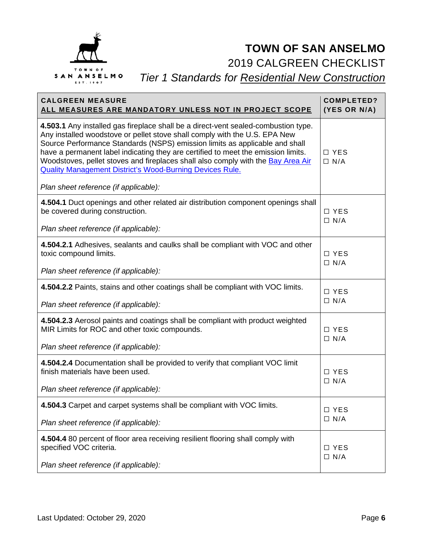

2019 CALGREEN CHECKLIST

| <b>CALGREEN MEASURE</b><br>ALL MEASURES ARE MANDATORY UNLESS NOT IN PROJECT SCOPE                                                                                                                                                                                                                                                                                                                                                                                                                                                    | COMPLETED?<br>(YES OR N/A) |
|--------------------------------------------------------------------------------------------------------------------------------------------------------------------------------------------------------------------------------------------------------------------------------------------------------------------------------------------------------------------------------------------------------------------------------------------------------------------------------------------------------------------------------------|----------------------------|
| 4.503.1 Any installed gas fireplace shall be a direct-vent sealed-combustion type.<br>Any installed woodstove or pellet stove shall comply with the U.S. EPA New<br>Source Performance Standards (NSPS) emission limits as applicable and shall<br>have a permanent label indicating they are certified to meet the emission limits.<br>Woodstoves, pellet stoves and fireplaces shall also comply with the Bay Area Air<br><b>Quality Management District's Wood-Burning Devices Rule.</b><br>Plan sheet reference (if applicable): | $\Box$ YES<br>$\Box$ N/A   |
| 4.504.1 Duct openings and other related air distribution component openings shall<br>be covered during construction.<br>Plan sheet reference (if applicable):                                                                                                                                                                                                                                                                                                                                                                        | $\Box$ YES<br>$\Box$ N/A   |
| 4.504.2.1 Adhesives, sealants and caulks shall be compliant with VOC and other<br>toxic compound limits.<br>Plan sheet reference (if applicable):                                                                                                                                                                                                                                                                                                                                                                                    | $\Box$ YES<br>$\Box$ N/A   |
| 4.504.2.2 Paints, stains and other coatings shall be compliant with VOC limits.<br>Plan sheet reference (if applicable):                                                                                                                                                                                                                                                                                                                                                                                                             | $\Box$ YES<br>$\Box$ N/A   |
| 4.504.2.3 Aerosol paints and coatings shall be compliant with product weighted<br>MIR Limits for ROC and other toxic compounds.<br>Plan sheet reference (if applicable):                                                                                                                                                                                                                                                                                                                                                             | $\Box$ YES<br>$\Box$ N/A   |
| 4.504.2.4 Documentation shall be provided to verify that compliant VOC limit<br>finish materials have been used.<br>Plan sheet reference (if applicable):                                                                                                                                                                                                                                                                                                                                                                            | $\Box$ YES<br>$\Box$ N/A   |
| 4.504.3 Carpet and carpet systems shall be compliant with VOC limits.<br>Plan sheet reference (if applicable):                                                                                                                                                                                                                                                                                                                                                                                                                       | $\Box$ YES<br>$\Box$ N/A   |
| 4.504.4 80 percent of floor area receiving resilient flooring shall comply with<br>specified VOC criteria.<br>Plan sheet reference (if applicable):                                                                                                                                                                                                                                                                                                                                                                                  | $\Box$ YES<br>$\Box$ N/A   |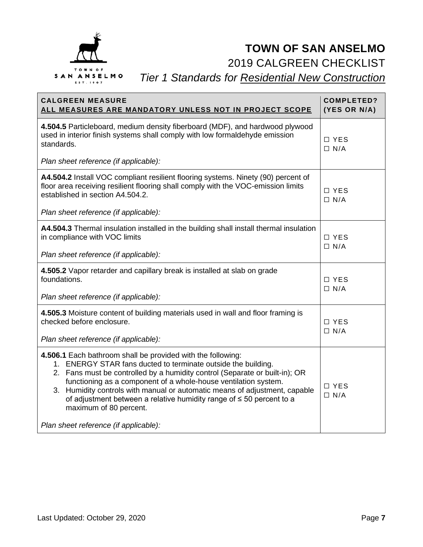

2019 CALGREEN CHECKLIST

| <b>CALGREEN MEASURE</b><br>ALL MEASURES ARE MANDATORY UNLESS NOT IN PROJECT SCOPE                                                                                                                                                                                                                                                                                                                                                                                   | <b>COMPLETED?</b><br>(YES OR N/A) |
|---------------------------------------------------------------------------------------------------------------------------------------------------------------------------------------------------------------------------------------------------------------------------------------------------------------------------------------------------------------------------------------------------------------------------------------------------------------------|-----------------------------------|
| 4.504.5 Particleboard, medium density fiberboard (MDF), and hardwood plywood<br>used in interior finish systems shall comply with low formaldehyde emission<br>standards.                                                                                                                                                                                                                                                                                           | □ YES<br>$\Box$ N/A               |
| Plan sheet reference (if applicable):                                                                                                                                                                                                                                                                                                                                                                                                                               |                                   |
| A4.504.2 Install VOC compliant resilient flooring systems. Ninety (90) percent of<br>floor area receiving resilient flooring shall comply with the VOC-emission limits<br>established in section A4.504.2.                                                                                                                                                                                                                                                          | $\Box$ YES<br>$\Box$ N/A          |
| Plan sheet reference (if applicable):                                                                                                                                                                                                                                                                                                                                                                                                                               |                                   |
| A4.504.3 Thermal insulation installed in the building shall install thermal insulation<br>in compliance with VOC limits                                                                                                                                                                                                                                                                                                                                             | □ YES<br>$\Box$ N/A               |
| Plan sheet reference (if applicable):                                                                                                                                                                                                                                                                                                                                                                                                                               |                                   |
| 4.505.2 Vapor retarder and capillary break is installed at slab on grade<br>foundations.                                                                                                                                                                                                                                                                                                                                                                            | $\Box$ YES<br>$\Box$ N/A          |
| Plan sheet reference (if applicable):                                                                                                                                                                                                                                                                                                                                                                                                                               |                                   |
| 4.505.3 Moisture content of building materials used in wall and floor framing is<br>checked before enclosure.                                                                                                                                                                                                                                                                                                                                                       | □ YES<br>$\Box$ N/A               |
| Plan sheet reference (if applicable):                                                                                                                                                                                                                                                                                                                                                                                                                               |                                   |
| 4.506.1 Each bathroom shall be provided with the following:<br>1. ENERGY STAR fans ducted to terminate outside the building.<br>2. Fans must be controlled by a humidity control (Separate or built-in); OR<br>functioning as a component of a whole-house ventilation system.<br>3. Humidity controls with manual or automatic means of adjustment, capable<br>of adjustment between a relative humidity range of $\leq$ 50 percent to a<br>maximum of 80 percent. | □ YES<br>$\Box$ N/A               |
| Plan sheet reference (if applicable):                                                                                                                                                                                                                                                                                                                                                                                                                               |                                   |